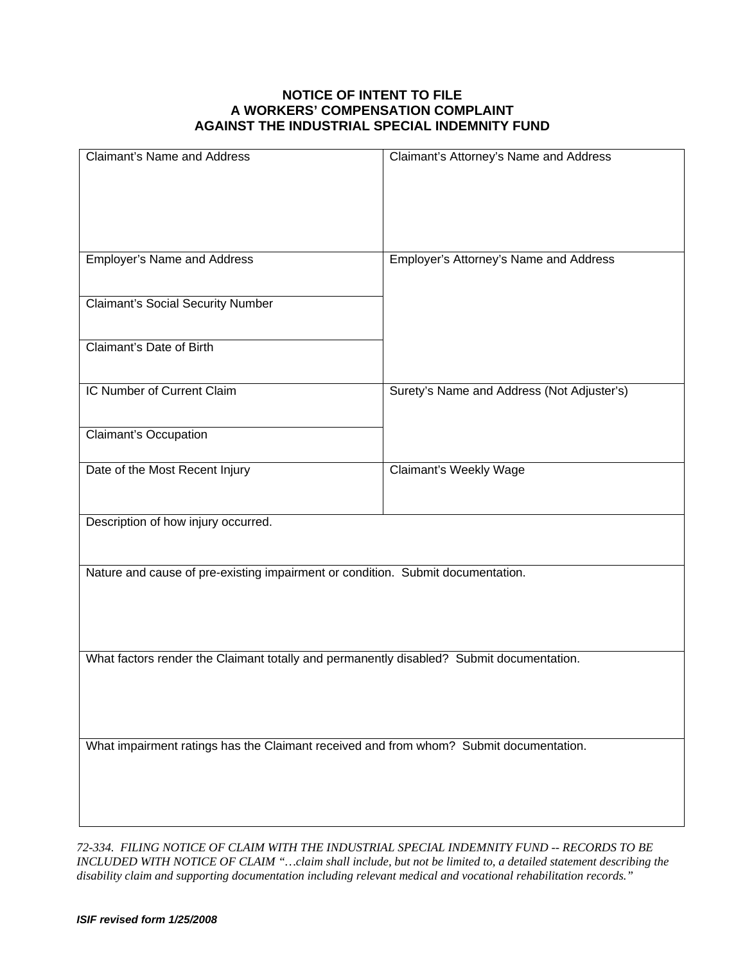## **NOTICE OF INTENT TO FILE A WORKERS' COMPENSATION COMPLAINT AGAINST THE INDUSTRIAL SPECIAL INDEMNITY FUND**

| <b>Claimant's Name and Address</b>                                                       | Claimant's Attorney's Name and Address     |
|------------------------------------------------------------------------------------------|--------------------------------------------|
|                                                                                          |                                            |
|                                                                                          |                                            |
| <b>Employer's Name and Address</b>                                                       | Employer's Attorney's Name and Address     |
| <b>Claimant's Social Security Number</b>                                                 |                                            |
| Claimant's Date of Birth                                                                 |                                            |
| IC Number of Current Claim                                                               | Surety's Name and Address (Not Adjuster's) |
| <b>Claimant's Occupation</b>                                                             |                                            |
| Date of the Most Recent Injury                                                           | <b>Claimant's Weekly Wage</b>              |
| Description of how injury occurred.                                                      |                                            |
| Nature and cause of pre-existing impairment or condition. Submit documentation.          |                                            |
|                                                                                          |                                            |
| What factors render the Claimant totally and permanently disabled? Submit documentation. |                                            |
|                                                                                          |                                            |
| What impairment ratings has the Claimant received and from whom? Submit documentation.   |                                            |
|                                                                                          |                                            |
|                                                                                          |                                            |

*72-334. FILING NOTICE OF CLAIM WITH THE INDUSTRIAL SPECIAL INDEMNITY FUND -- RECORDS TO BE INCLUDED WITH NOTICE OF CLAIM "…claim shall include, but not be limited to, a detailed statement describing the disability claim and supporting documentation including relevant medical and vocational rehabilitation records."*